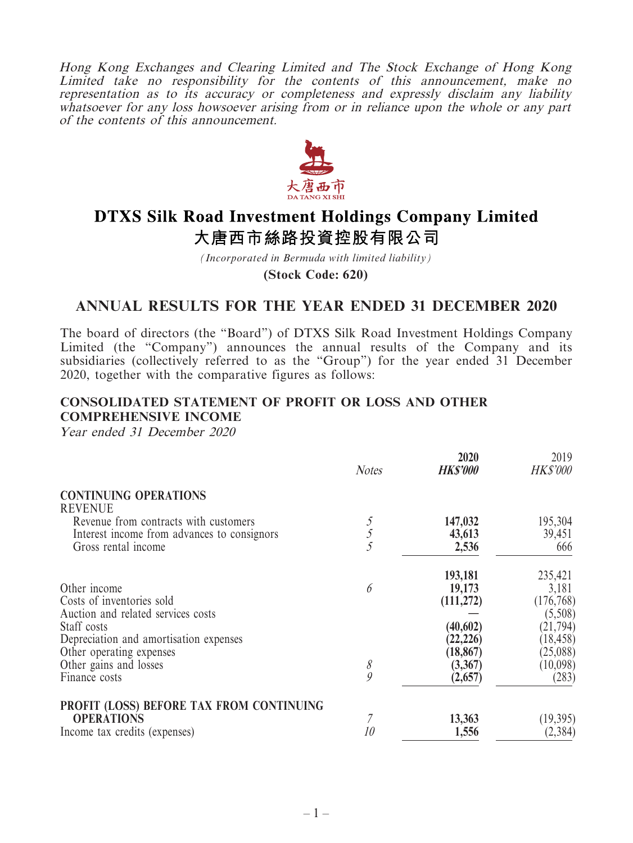Hong Kong Exchanges and Clearing Limited and The Stock Exchange of Hong Kong Limited take no responsibility for the contents of this announcement, make no representation as to its accuracy or completeness and expressly disclaim any liability whatsoever for any loss howsoever arising from or in reliance upon the whole or any part of the contents of this announcement.



# **DTXS Silk Road Investment Holdings Company Limited** 大唐西市絲路投資控股有限公司

*(Incorporated in Bermuda with limited liability)*

**(Stock Code: 620)**

# **ANNUAL RESULTS FOR THE YEAR ENDED 31 DECEMBER 2020**

The board of directors (the "Board") of DTXS Silk Road Investment Holdings Company Limited (the "Company") announces the annual results of the Company and its subsidiaries (collectively referred to as the "Group") for the year ended 31 December 2020, together with the comparative figures as follows:

 $\mathbf{L}$   $\mathbf{L}$   $\mathbf{L}$   $\mathbf{L}$ 

 $\overline{1}$   $\overline{1}$ 

### **CONSOLIDATED STATEMENT OF PROFIT OR LOSS AND OTHER COMPREHENSIVE INCOME**

Year ended 31 December 2020

|                                             | <b>Notes</b>   | 2020<br><b>HKS'000</b> | 2019<br><b>HK\$'000</b> |
|---------------------------------------------|----------------|------------------------|-------------------------|
| <b>CONTINUING OPERATIONS</b>                |                |                        |                         |
| <b>REVENUE</b>                              |                |                        |                         |
| Revenue from contracts with customers       |                | 147,032                | 195,304                 |
| Interest income from advances to consignors | $\mathfrak{H}$ | 43,613                 | 39,451                  |
| Gross rental income                         | 5              | 2,536                  | 666                     |
|                                             |                | 193,181                | 235,421                 |
| Other income                                | 6              | 19,173                 | 3,181                   |
| Costs of inventories sold                   |                | (111, 272)             | (176, 768)              |
| Auction and related services costs          |                |                        | (5,508)                 |
| Staff costs                                 |                | (40, 602)              | (21, 794)               |
| Depreciation and amortisation expenses      |                | (22, 226)              | (18, 458)               |
| Other operating expenses                    |                | (18, 867)              | (25,088)                |
| Other gains and losses                      | 8              | (3,367)                | (10,098)                |
| Finance costs                               | $\mathcal{Q}$  | (2,657)                | (283)                   |
| PROFIT (LOSS) BEFORE TAX FROM CONTINUING    |                |                        |                         |
| <b>OPERATIONS</b>                           |                | 13,363                 | (19, 395)               |
| Income tax credits (expenses)               | 10             | 1,556                  | (2, 384)                |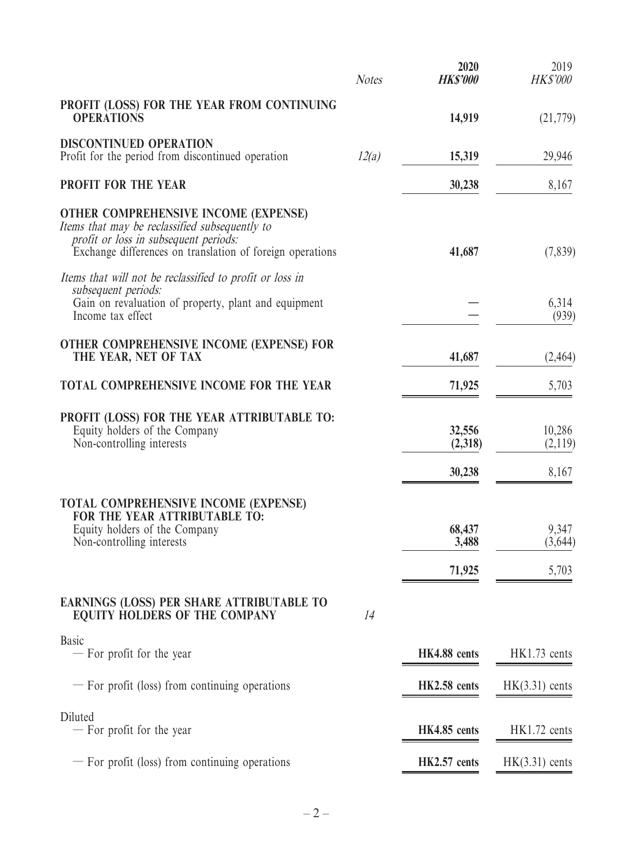|                                                                                                                                                                                                     | <b>Notes</b> | 2020<br><b>HK\$'000</b>   | 2019<br><b>HK\$'000</b>   |
|-----------------------------------------------------------------------------------------------------------------------------------------------------------------------------------------------------|--------------|---------------------------|---------------------------|
| PROFIT (LOSS) FOR THE YEAR FROM CONTINUING<br><b>OPERATIONS</b>                                                                                                                                     |              | 14,919                    | (21,779)                  |
| <b>DISCONTINUED OPERATION</b><br>Profit for the period from discontinued operation                                                                                                                  | 12(a)        | 15,319                    | 29,946                    |
| PROFIT FOR THE YEAR                                                                                                                                                                                 |              | 30,238                    | 8,167                     |
| <b>OTHER COMPREHENSIVE INCOME (EXPENSE)</b><br>Items that may be reclassified subsequently to<br>profit or loss in subsequent periods:<br>Exchange differences on translation of foreign operations |              | 41,687                    | (7, 839)                  |
| Items that will not be reclassified to profit or loss in<br>subsequent periods:<br>Gain on revaluation of property, plant and equipment<br>Income tax effect                                        |              |                           | 6,314<br>(939)            |
| OTHER COMPREHENSIVE INCOME (EXPENSE) FOR<br>THE YEAR, NET OF TAX                                                                                                                                    |              | 41,687                    | (2, 464)                  |
| TOTAL COMPREHENSIVE INCOME FOR THE YEAR                                                                                                                                                             |              | 71,925                    | 5,703                     |
| PROFIT (LOSS) FOR THE YEAR ATTRIBUTABLE TO:<br>Equity holders of the Company<br>Non-controlling interests                                                                                           |              | 32,556<br>(2,318)         | 10,286<br>(2,119)         |
|                                                                                                                                                                                                     |              | 30,238                    | 8,167                     |
| <b>TOTAL COMPREHENSIVE INCOME (EXPENSE)</b><br>FOR THE YEAR ATTRIBUTABLE TO:<br>Equity holders of the Company<br>Non-controlling interests                                                          |              | 68,437<br>3,488<br>71,925 | 9,347<br>(3,644)<br>5,703 |
| EARNINGS (LOSS) PER SHARE ATTRIBUTABLE TO<br><b>EQUITY HOLDERS OF THE COMPANY</b>                                                                                                                   | 14           |                           |                           |
| Basic<br>- For profit for the year                                                                                                                                                                  |              | HK4.88 cents              | HK1.73 cents              |
| - For profit (loss) from continuing operations                                                                                                                                                      |              | HK2.58 cents              | $HK(3.31)$ cents          |
| Diluted<br>- For profit for the year                                                                                                                                                                |              | HK4.85 cents              | HK1.72 cents              |
| - For profit (loss) from continuing operations                                                                                                                                                      |              | HK2.57 cents              | $HK(3.31)$ cents          |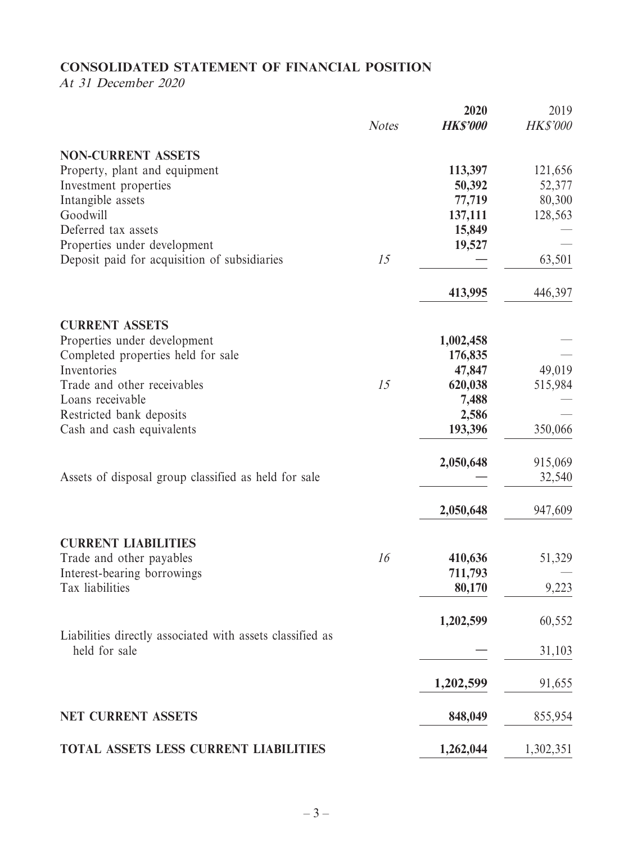# **CONSOLIDATED STATEMENT OF FINANCIAL POSITION**

At 31 December 2020

|                                                                            | <b>Notes</b> | 2020<br><b>HK\$'000</b> | 2019<br><b>HK\$'000</b> |
|----------------------------------------------------------------------------|--------------|-------------------------|-------------------------|
| <b>NON-CURRENT ASSETS</b>                                                  |              |                         |                         |
| Property, plant and equipment                                              |              | 113,397                 | 121,656                 |
| Investment properties                                                      |              | 50,392                  | 52,377                  |
| Intangible assets                                                          |              | 77,719                  | 80,300                  |
| Goodwill                                                                   |              | 137,111                 | 128,563                 |
| Deferred tax assets                                                        |              | 15,849                  |                         |
| Properties under development                                               |              | 19,527                  |                         |
| Deposit paid for acquisition of subsidiaries                               | 15           |                         | 63,501                  |
|                                                                            |              | 413,995                 | 446,397                 |
|                                                                            |              |                         |                         |
| <b>CURRENT ASSETS</b><br>Properties under development                      |              | 1,002,458               |                         |
| Completed properties held for sale                                         |              | 176,835                 |                         |
| Inventories                                                                |              | 47,847                  | 49,019                  |
| Trade and other receivables                                                | 15           | 620,038                 | 515,984                 |
| Loans receivable                                                           |              | 7,488                   |                         |
| Restricted bank deposits                                                   |              | 2,586                   |                         |
| Cash and cash equivalents                                                  |              | 193,396                 | 350,066                 |
|                                                                            |              | 2,050,648               | 915,069                 |
| Assets of disposal group classified as held for sale                       |              |                         | 32,540                  |
|                                                                            |              | 2,050,648               | 947,609                 |
| <b>CURRENT LIABILITIES</b>                                                 |              |                         |                         |
| Trade and other payables                                                   | 16           | 410,636                 | 51,329                  |
| Interest-bearing borrowings                                                |              | 711,793                 |                         |
| Tax liabilities                                                            |              | 80,170                  | 9,223                   |
|                                                                            |              | 1,202,599               | 60,552                  |
| Liabilities directly associated with assets classified as<br>held for sale |              |                         | 31,103                  |
|                                                                            |              |                         |                         |
|                                                                            |              | 1,202,599               | 91,655                  |
| <b>NET CURRENT ASSETS</b>                                                  |              | 848,049                 | 855,954                 |
| TOTAL ASSETS LESS CURRENT LIABILITIES                                      |              | 1,262,044               | 1,302,351               |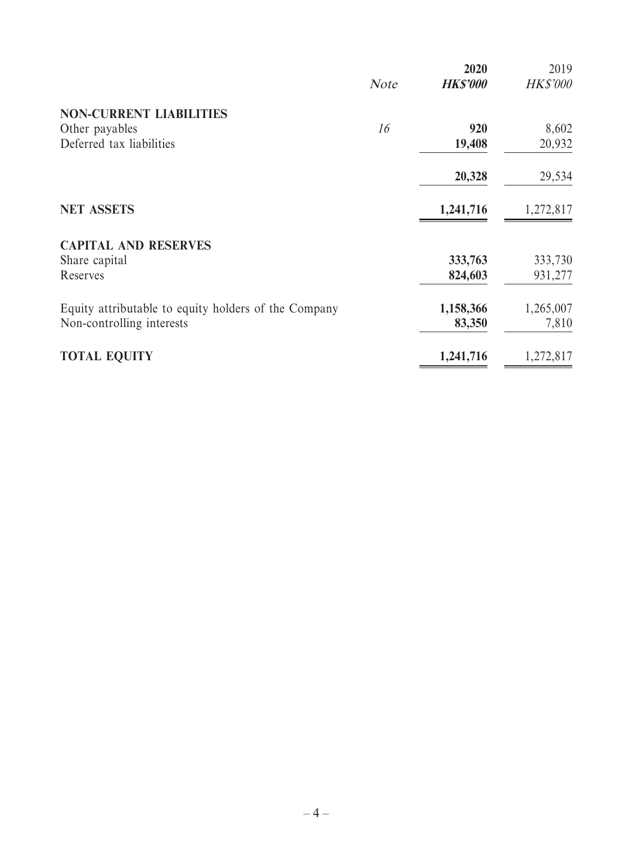|                                                      |             | 2020            | 2019            |
|------------------------------------------------------|-------------|-----------------|-----------------|
|                                                      | <b>Note</b> | <b>HK\$'000</b> | <b>HK\$'000</b> |
| <b>NON-CURRENT LIABILITIES</b>                       |             |                 |                 |
| Other payables                                       | 16          | 920             | 8,602           |
| Deferred tax liabilities                             |             | 19,408          | 20,932          |
|                                                      |             | 20,328          | 29,534          |
| <b>NET ASSETS</b>                                    |             | 1,241,716       | 1,272,817       |
| <b>CAPITAL AND RESERVES</b>                          |             |                 |                 |
| Share capital                                        |             | 333,763         | 333,730         |
| Reserves                                             |             | 824,603         | 931,277         |
| Equity attributable to equity holders of the Company |             | 1,158,366       | 1,265,007       |
| Non-controlling interests                            |             | 83,350          | 7,810           |
| <b>TOTAL EQUITY</b>                                  |             | 1,241,716       | 1,272,817       |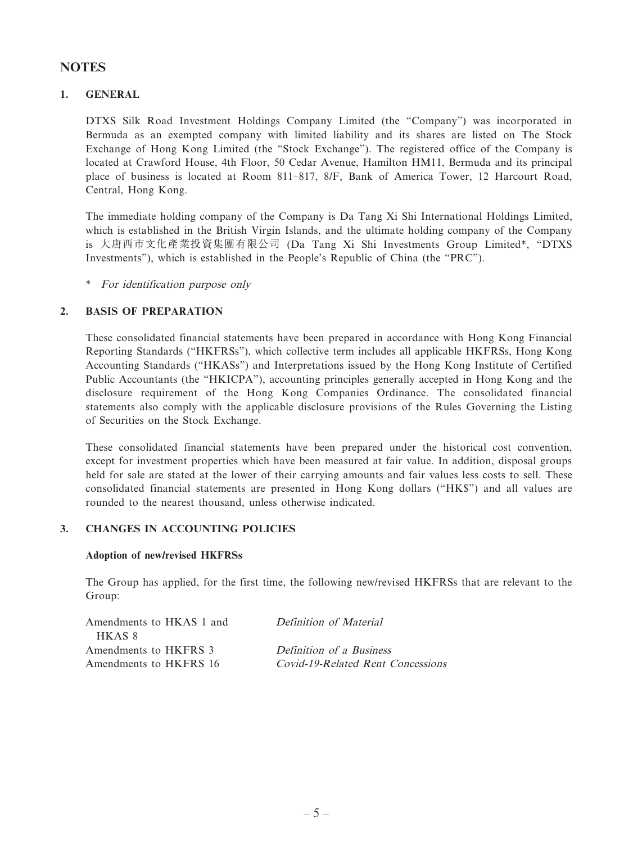### **NOTES**

### **1. GENERAL**

DTXS Silk Road Investment Holdings Company Limited (the "Company") was incorporated in Bermuda as an exempted company with limited liability and its shares are listed on The Stock Exchange of Hong Kong Limited (the "Stock Exchange"). The registered office of the Company is located at Crawford House, 4th Floor, 50 Cedar Avenue, Hamilton HM11, Bermuda and its principal place of business is located at Room 811–817, 8/F, Bank of America Tower, 12 Harcourt Road, Central, Hong Kong.

The immediate holding company of the Company is Da Tang Xi Shi International Holdings Limited, which is established in the British Virgin Islands, and the ultimate holding company of the Company is 大唐西市文化產業投資集團有限公司 (Da Tang Xi Shi Investments Group Limited\*, "DTXS Investments"), which is established in the People's Republic of China (the "PRC").

\* For identification purpose only

### **2. BASIS OF PREPARATION**

These consolidated financial statements have been prepared in accordance with Hong Kong Financial Reporting Standards ("HKFRSs"), which collective term includes all applicable HKFRSs, Hong Kong Accounting Standards ("HKASs") and Interpretations issued by the Hong Kong Institute of Certified Public Accountants (the "HKICPA"), accounting principles generally accepted in Hong Kong and the disclosure requirement of the Hong Kong Companies Ordinance. The consolidated financial statements also comply with the applicable disclosure provisions of the Rules Governing the Listing of Securities on the Stock Exchange.

These consolidated financial statements have been prepared under the historical cost convention, except for investment properties which have been measured at fair value. In addition, disposal groups held for sale are stated at the lower of their carrying amounts and fair values less costs to sell. These consolidated financial statements are presented in Hong Kong dollars ("HK\$") and all values are rounded to the nearest thousand, unless otherwise indicated.

#### **3. CHANGES IN ACCOUNTING POLICIES**

#### **Adoption of new/revised HKFRSs**

The Group has applied, for the first time, the following new/revised HKFRSs that are relevant to the Group:

| Amendments to HKAS 1 and | Definition of Material            |
|--------------------------|-----------------------------------|
| HKAS 8                   |                                   |
| Amendments to HKFRS 3    | Definition of a Business          |
| Amendments to HKFRS 16   | Covid-19-Related Rent Concessions |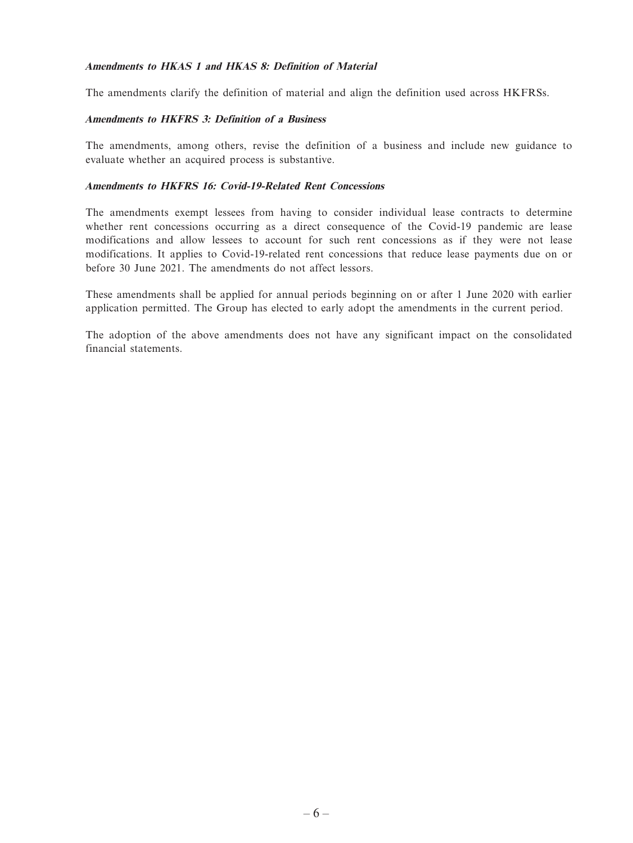#### **Amendments to HKAS 1 and HKAS 8: Definition of Material**

The amendments clarify the definition of material and align the definition used across HKFRSs.

#### **Amendments to HKFRS 3: Definition of a Business**

The amendments, among others, revise the definition of a business and include new guidance to evaluate whether an acquired process is substantive.

### **Amendments to HKFRS 16: Covid-19-Related Rent Concessions**

The amendments exempt lessees from having to consider individual lease contracts to determine whether rent concessions occurring as a direct consequence of the Covid-19 pandemic are lease modifications and allow lessees to account for such rent concessions as if they were not lease modifications. It applies to Covid-19-related rent concessions that reduce lease payments due on or before 30 June 2021. The amendments do not affect lessors.

These amendments shall be applied for annual periods beginning on or after 1 June 2020 with earlier application permitted. The Group has elected to early adopt the amendments in the current period.

The adoption of the above amendments does not have any significant impact on the consolidated financial statements.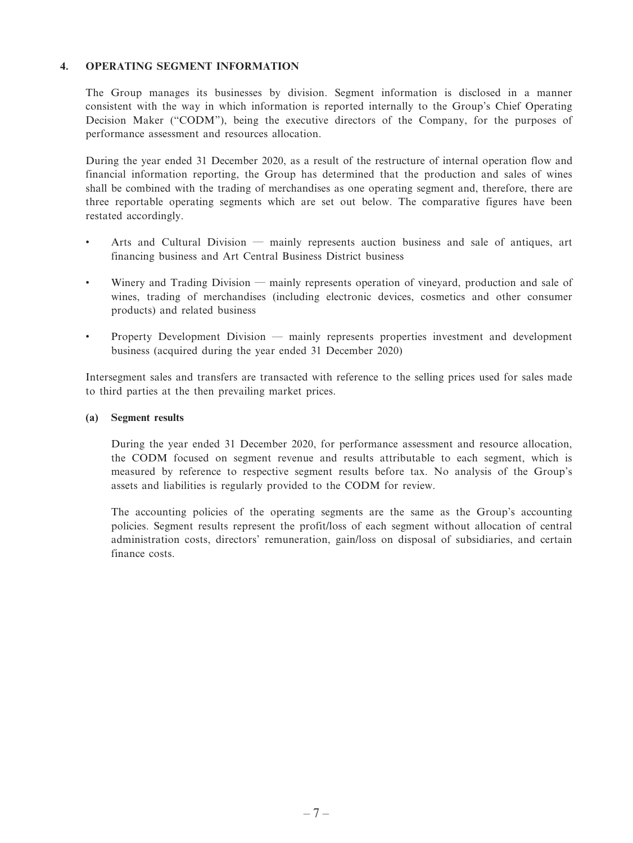### **4. OPERATING SEGMENT INFORMATION**

The Group manages its businesses by division. Segment information is disclosed in a manner consistent with the way in which information is reported internally to the Group's Chief Operating Decision Maker ("CODM"), being the executive directors of the Company, for the purposes of performance assessment and resources allocation.

During the year ended 31 December 2020, as a result of the restructure of internal operation flow and financial information reporting, the Group has determined that the production and sales of wines shall be combined with the trading of merchandises as one operating segment and, therefore, there are three reportable operating segments which are set out below. The comparative figures have been restated accordingly.

- Arts and Cultural Division mainly represents auction business and sale of antiques, art financing business and Art Central Business District business
- Winery and Trading Division mainly represents operation of vineyard, production and sale of wines, trading of merchandises (including electronic devices, cosmetics and other consumer products) and related business
- Property Development Division mainly represents properties investment and development business (acquired during the year ended 31 December 2020)

Intersegment sales and transfers are transacted with reference to the selling prices used for sales made to third parties at the then prevailing market prices.

#### **(a) Segment results**

During the year ended 31 December 2020, for performance assessment and resource allocation, the CODM focused on segment revenue and results attributable to each segment, which is measured by reference to respective segment results before tax. No analysis of the Group's assets and liabilities is regularly provided to the CODM for review.

The accounting policies of the operating segments are the same as the Group's accounting policies. Segment results represent the profit/loss of each segment without allocation of central administration costs, directors' remuneration, gain/loss on disposal of subsidiaries, and certain finance costs.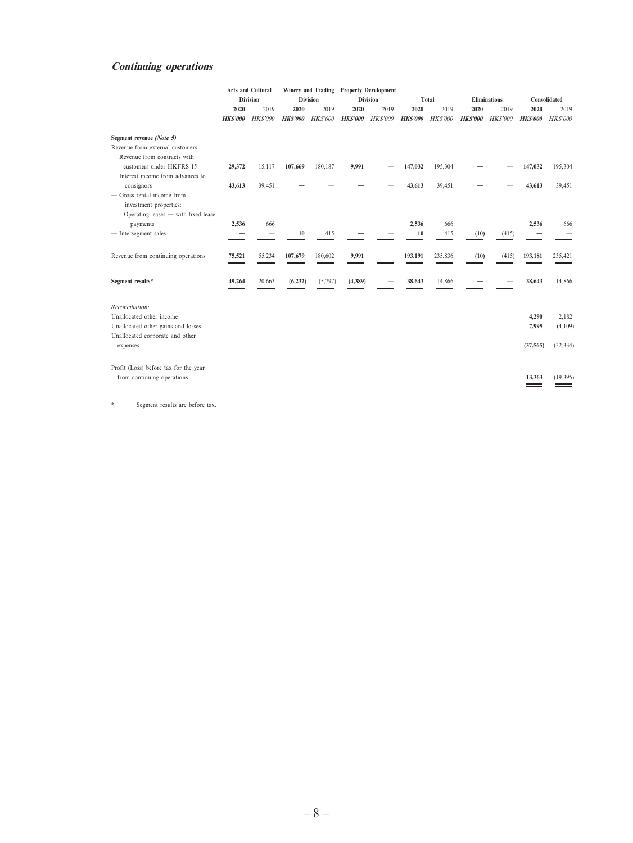### **Continuing operations**

|                                                      |                | <b>Arts and Cultural</b> |                |                 |                | Winery and Trading Property Development |                |                |                |                     |                |                |
|------------------------------------------------------|----------------|--------------------------|----------------|-----------------|----------------|-----------------------------------------|----------------|----------------|----------------|---------------------|----------------|----------------|
|                                                      |                | <b>Division</b>          |                | <b>Division</b> |                | <b>Division</b>                         |                | Total          |                | <b>Eliminations</b> |                | Consolidated   |
|                                                      | 2020           | 2019                     | 2020           | 2019            | 2020           | 2019                                    | 2020           | 2019           | 2020           | 2019                | 2020           | 2019           |
|                                                      | <b>HKS'000</b> | <b>HKS'000</b>           | <b>HKS'000</b> | <b>HK\$'000</b> | <b>HKS'000</b> | <b>HKS'000</b>                          | <b>HKS'000</b> | <b>HKS'000</b> | <b>HKS'000</b> | <b>HKS'000</b>      | <b>HKS'000</b> | <b>HKS'000</b> |
| Segment revenue (Note 5)                             |                |                          |                |                 |                |                                         |                |                |                |                     |                |                |
| Revenue from external customers                      |                |                          |                |                 |                |                                         |                |                |                |                     |                |                |
| - Revenue from contracts with                        |                |                          |                |                 |                |                                         |                |                |                |                     |                |                |
| customers under HKFRS 15                             | 29,372         | 15,117                   | 107,669        | 180,187         | 9,991          |                                         | 147,032        | 195,304        |                |                     | 147,032        | 195,304        |
| - Interest income from advances to                   |                |                          |                |                 |                |                                         |                |                |                |                     |                |                |
| consignors                                           | 43,613         | 39,451                   |                |                 |                |                                         | 43,613         | 39,451         |                |                     | 43,613         | 39,451         |
| - Gross rental income from<br>investment properties: |                |                          |                |                 |                |                                         |                |                |                |                     |                |                |
| Operating leases - with fixed lease                  |                |                          |                |                 |                |                                         |                |                |                |                     |                |                |
| payments                                             | 2,536          | 666                      |                |                 |                |                                         | 2,536          | 666            |                |                     | 2,536          | 666            |
| $-$ Intersegment sales                               |                |                          | 10             | 415             |                |                                         | 10             | 415            | (10)           | (415)               |                |                |
| Revenue from continuing operations                   | 75,521         | 55,234                   | 107,679        | 180,602         | 9,991          |                                         | 193,191        | 235,836        | (10)           | (415)               | 193,181        | 235,421        |
| Segment results*                                     | 49,264         | 20,663                   | (6, 232)       | (5,797)         | (4,389)        |                                         | 38,643         | 14,866         |                |                     | 38,643         | 14,866         |
| Reconciliation:                                      |                |                          |                |                 |                |                                         |                |                |                |                     |                |                |
| Unallocated other income                             |                |                          |                |                 |                |                                         |                |                |                |                     | 4,290          | 2,182          |
| Unallocated other gains and losses                   |                |                          |                |                 |                |                                         |                |                |                |                     | 7,995          | (4,109)        |
| Unallocated corporate and other                      |                |                          |                |                 |                |                                         |                |                |                |                     |                |                |
| expenses                                             |                |                          |                |                 |                |                                         |                |                |                |                     | (37, 565)      | (32, 334)      |
| Profit (Loss) before tax for the year                |                |                          |                |                 |                |                                         |                |                |                |                     |                |                |
| from continuing operations                           |                |                          |                |                 |                |                                         |                |                |                |                     | 13,363         | (19, 395)      |
|                                                      |                |                          |                |                 |                |                                         |                |                |                |                     |                |                |

\* Segment results are before tax.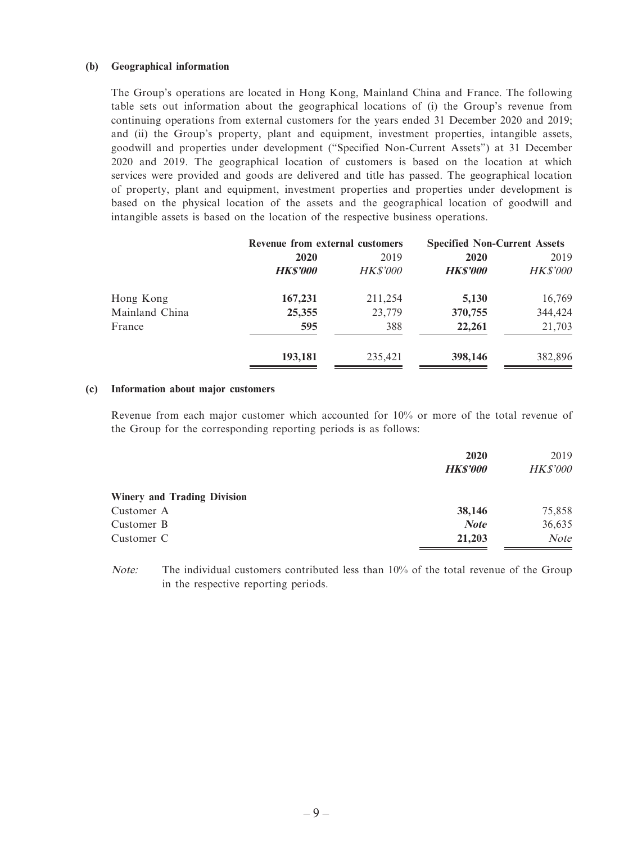#### **(b) Geographical information**

The Group's operations are located in Hong Kong, Mainland China and France. The following table sets out information about the geographical locations of (i) the Group's revenue from continuing operations from external customers for the years ended 31 December 2020 and 2019; and (ii) the Group's property, plant and equipment, investment properties, intangible assets, goodwill and properties under development ("Specified Non-Current Assets") at 31 December 2020 and 2019. The geographical location of customers is based on the location at which services were provided and goods are delivered and title has passed. The geographical location of property, plant and equipment, investment properties and properties under development is based on the physical location of the assets and the geographical location of goodwill and intangible assets is based on the location of the respective business operations.

|                |                 | Revenue from external customers |                | <b>Specified Non-Current Assets</b> |
|----------------|-----------------|---------------------------------|----------------|-------------------------------------|
|                | <b>2020</b>     | 2019                            | 2020           | 2019                                |
|                | <b>HK\$'000</b> | <b>HK\$'000</b>                 | <b>HKS'000</b> | <b>HK\$'000</b>                     |
| Hong Kong      | 167,231         | 211,254                         | 5,130          | 16,769                              |
| Mainland China | 25,355          | 23,779                          | 370,755        | 344,424                             |
| France         | 595             | 388                             | 22,261         | 21,703                              |
|                | 193,181         | 235,421                         | 398,146        | 382,896                             |

#### **(c) Information about major customers**

Revenue from each major customer which accounted for 10% or more of the total revenue of the Group for the corresponding reporting periods is as follows:

|                                    | 2020            | 2019            |
|------------------------------------|-----------------|-----------------|
|                                    | <b>HK\$'000</b> | <b>HK\$'000</b> |
| <b>Winery and Trading Division</b> |                 |                 |
| Customer A                         | 38,146          | 75,858          |
| Customer B                         | <b>Note</b>     | 36,635          |
| Customer C                         | 21,203          | Note            |

Note: The individual customers contributed less than 10% of the total revenue of the Group in the respective reporting periods.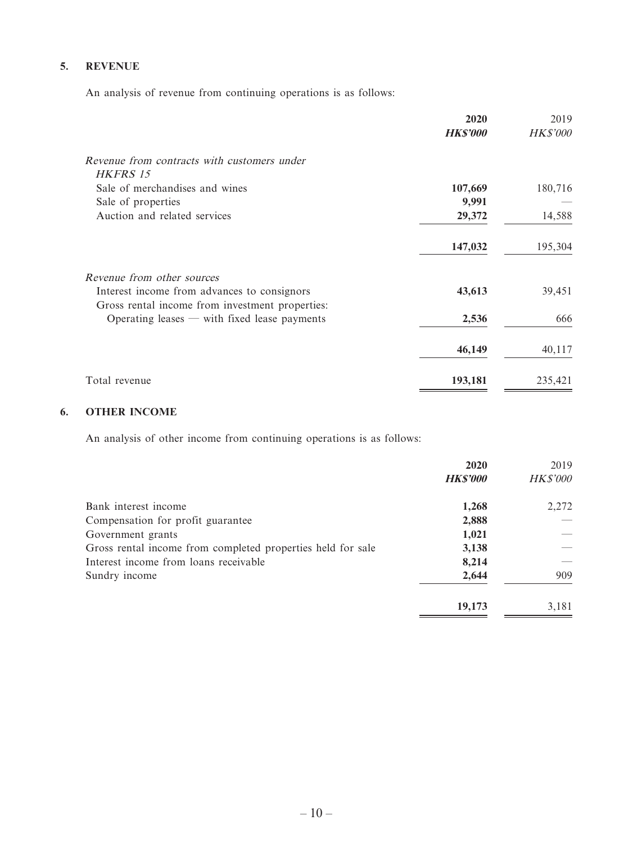### **5. REVENUE**

An analysis of revenue from continuing operations is as follows:

|                                                                                                | 2020            | 2019            |
|------------------------------------------------------------------------------------------------|-----------------|-----------------|
|                                                                                                | <b>HK\$'000</b> | <b>HK\$'000</b> |
| Revenue from contracts with customers under<br>HKFRS 15                                        |                 |                 |
| Sale of merchandises and wines                                                                 | 107,669         | 180,716         |
| Sale of properties                                                                             | 9,991           |                 |
| Auction and related services                                                                   | 29,372          | 14,588          |
|                                                                                                | 147,032         | 195,304         |
| Revenue from other sources                                                                     |                 |                 |
| Interest income from advances to consignors<br>Gross rental income from investment properties: | 43,613          | 39,451          |
| Operating leases $-$ with fixed lease payments                                                 | 2,536           | 666             |
|                                                                                                | 46,149          | 40,117          |
| Total revenue                                                                                  | 193,181         | 235,421         |

### **6. OTHER INCOME**

An analysis of other income from continuing operations is as follows:

|                                                             | 2020            | 2019            |
|-------------------------------------------------------------|-----------------|-----------------|
|                                                             | <b>HK\$'000</b> | <b>HK\$'000</b> |
| Bank interest income                                        | 1,268           | 2,272           |
| Compensation for profit guarantee                           | 2,888           |                 |
| Government grants                                           | 1,021           |                 |
| Gross rental income from completed properties held for sale | 3,138           |                 |
| Interest income from loans receivable                       | 8,214           |                 |
| Sundry income                                               | 2,644           | 909             |
|                                                             | 19,173          | 3,181           |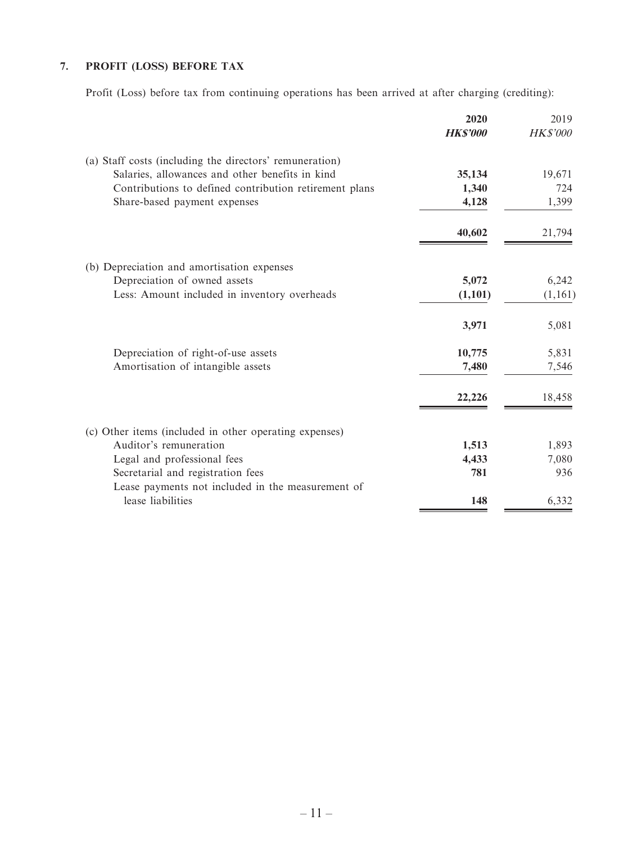# **7. PROFIT (LOSS) BEFORE TAX**

Profit (Loss) before tax from continuing operations has been arrived at after charging (crediting):

|                                                         | 2020<br><b>HK\$'000</b> | 2019<br><b>HK\$'000</b> |
|---------------------------------------------------------|-------------------------|-------------------------|
| (a) Staff costs (including the directors' remuneration) |                         |                         |
| Salaries, allowances and other benefits in kind         | 35,134                  | 19,671                  |
| Contributions to defined contribution retirement plans  | 1,340                   | 724                     |
| Share-based payment expenses                            | 4,128                   | 1,399                   |
|                                                         | 40,602                  | 21,794                  |
| (b) Depreciation and amortisation expenses              |                         |                         |
| Depreciation of owned assets                            | 5,072                   | 6,242                   |
| Less: Amount included in inventory overheads            | (1,101)                 | (1,161)                 |
|                                                         | 3,971                   | 5,081                   |
| Depreciation of right-of-use assets                     | 10,775                  | 5,831                   |
| Amortisation of intangible assets                       | 7,480                   | 7,546                   |
|                                                         | 22,226                  | 18,458                  |
| (c) Other items (included in other operating expenses)  |                         |                         |
| Auditor's remuneration                                  | 1,513                   | 1,893                   |
| Legal and professional fees                             | 4,433                   | 7,080                   |
| Secretarial and registration fees                       | 781                     | 936                     |
| Lease payments not included in the measurement of       |                         |                         |
| lease liabilities                                       | 148                     | 6,332                   |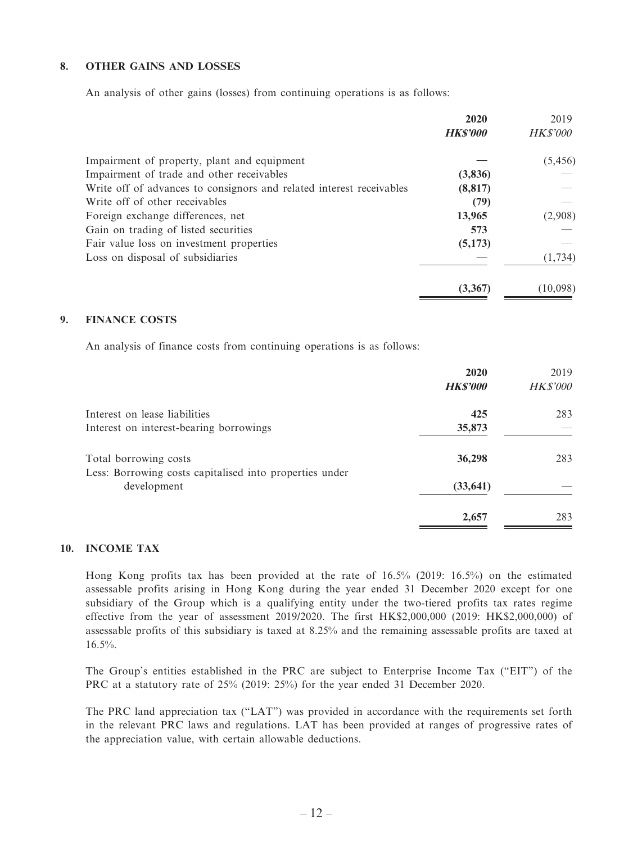### **8. OTHER GAINS AND LOSSES**

An analysis of other gains (losses) from continuing operations is as follows:

|                                                                      | 2020           | 2019            |
|----------------------------------------------------------------------|----------------|-----------------|
|                                                                      | <b>HKS'000</b> | <b>HK\$'000</b> |
| Impairment of property, plant and equipment                          |                | (5, 456)        |
| Impairment of trade and other receivables                            | (3,836)        |                 |
| Write off of advances to consignors and related interest receivables | (8, 817)       |                 |
| Write off of other receivables                                       | (79)           |                 |
| Foreign exchange differences, net                                    | 13,965         | (2,908)         |
| Gain on trading of listed securities                                 | 573            |                 |
| Fair value loss on investment properties                             | (5,173)        |                 |
| Loss on disposal of subsidiaries                                     |                | (1, 734)        |
|                                                                      | (3,367)        | (10,098)        |

### **9. FINANCE COSTS**

An analysis of finance costs from continuing operations is as follows:

|                                                                        | 2020            | 2019            |
|------------------------------------------------------------------------|-----------------|-----------------|
|                                                                        | <b>HK\$'000</b> | <b>HK\$'000</b> |
| Interest on lease liabilities                                          | 425             | 283             |
| Interest on interest-bearing borrowings                                | 35,873          |                 |
| Total borrowing costs                                                  | 36,298          | 283             |
| Less: Borrowing costs capitalised into properties under<br>development | (33, 641)       |                 |
|                                                                        | 2,657           | 283             |

#### **10. INCOME TAX**

Hong Kong profits tax has been provided at the rate of 16.5% (2019: 16.5%) on the estimated assessable profits arising in Hong Kong during the year ended 31 December 2020 except for one subsidiary of the Group which is a qualifying entity under the two-tiered profits tax rates regime effective from the year of assessment 2019/2020. The first HK\$2,000,000 (2019: HK\$2,000,000) of assessable profits of this subsidiary is taxed at 8.25% and the remaining assessable profits are taxed at 16.5%.

The Group's entities established in the PRC are subject to Enterprise Income Tax ("EIT") of the PRC at a statutory rate of 25% (2019: 25%) for the year ended 31 December 2020.

The PRC land appreciation tax ("LAT") was provided in accordance with the requirements set forth in the relevant PRC laws and regulations. LAT has been provided at ranges of progressive rates of the appreciation value, with certain allowable deductions.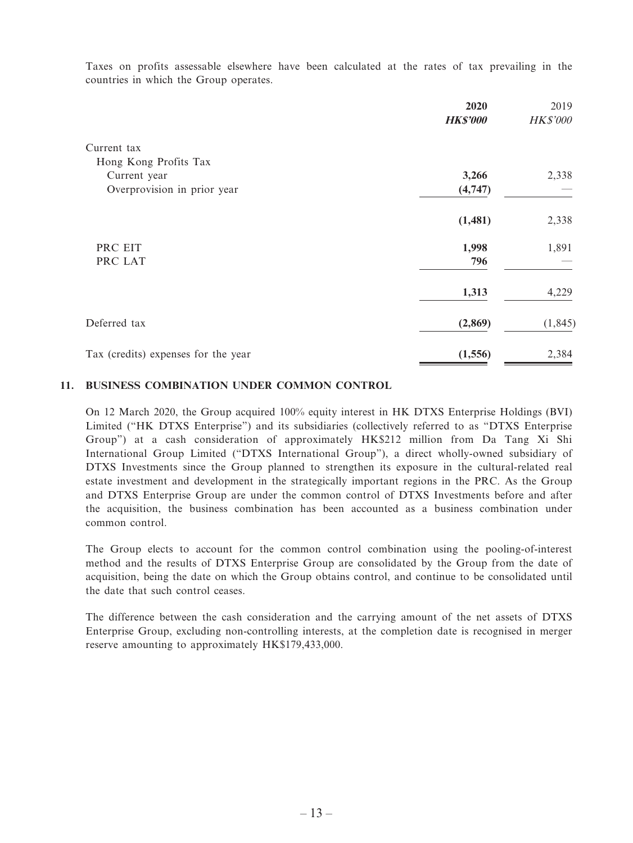Taxes on profits assessable elsewhere have been calculated at the rates of tax prevailing in the countries in which the Group operates.

|                                     | 2020            | 2019            |
|-------------------------------------|-----------------|-----------------|
|                                     | <b>HK\$'000</b> | <b>HK\$'000</b> |
| Current tax                         |                 |                 |
| Hong Kong Profits Tax               |                 |                 |
| Current year                        | 3,266           | 2,338           |
| Overprovision in prior year         | (4,747)         |                 |
|                                     | (1,481)         | 2,338           |
| PRC EIT                             | 1,998           | 1,891           |
| PRC LAT                             | 796             |                 |
|                                     | 1,313           | 4,229           |
| Deferred tax                        | (2,869)         | (1, 845)        |
| Tax (credits) expenses for the year | (1,556)         | 2,384           |

#### **11. BUSINESS COMBINATION UNDER COMMON CONTROL**

On 12 March 2020, the Group acquired 100% equity interest in HK DTXS Enterprise Holdings (BVI) Limited ("HK DTXS Enterprise") and its subsidiaries (collectively referred to as "DTXS Enterprise Group") at a cash consideration of approximately HK\$212 million from Da Tang Xi Shi International Group Limited ("DTXS International Group"), a direct wholly-owned subsidiary of DTXS Investments since the Group planned to strengthen its exposure in the cultural-related real estate investment and development in the strategically important regions in the PRC. As the Group and DTXS Enterprise Group are under the common control of DTXS Investments before and after the acquisition, the business combination has been accounted as a business combination under common control.

The Group elects to account for the common control combination using the pooling-of-interest method and the results of DTXS Enterprise Group are consolidated by the Group from the date of acquisition, being the date on which the Group obtains control, and continue to be consolidated until the date that such control ceases.

The difference between the cash consideration and the carrying amount of the net assets of DTXS Enterprise Group, excluding non-controlling interests, at the completion date is recognised in merger reserve amounting to approximately HK\$179,433,000.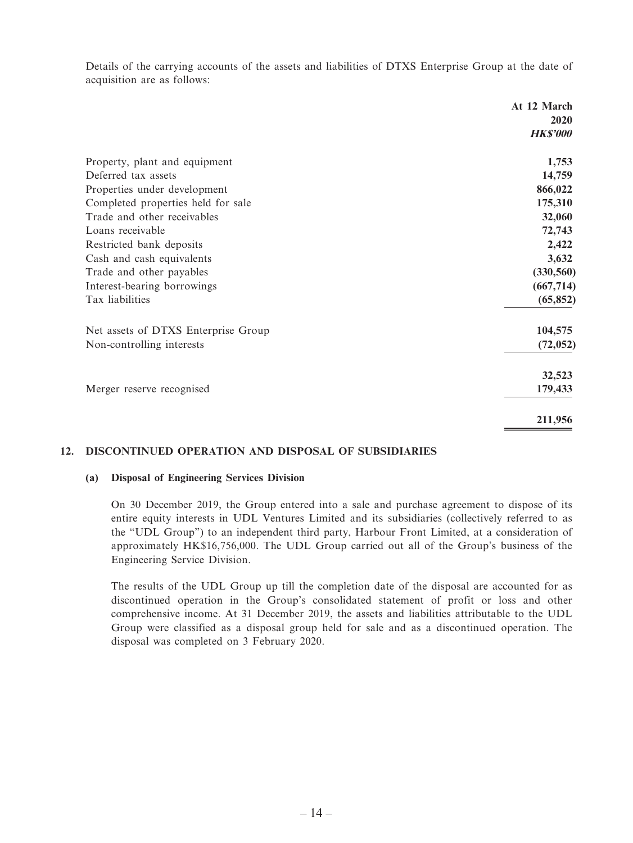Details of the carrying accounts of the assets and liabilities of DTXS Enterprise Group at the date of acquisition are as follows:

|                                     | At 12 March     |
|-------------------------------------|-----------------|
|                                     | 2020            |
|                                     | <b>HK\$'000</b> |
| Property, plant and equipment       | 1,753           |
| Deferred tax assets                 | 14,759          |
| Properties under development        | 866,022         |
| Completed properties held for sale  | 175,310         |
| Trade and other receivables         | 32,060          |
| Loans receivable                    | 72,743          |
| Restricted bank deposits            | 2,422           |
| Cash and cash equivalents           | 3,632           |
| Trade and other payables            | (330, 560)      |
| Interest-bearing borrowings         | (667, 714)      |
| Tax liabilities                     | (65, 852)       |
| Net assets of DTXS Enterprise Group | 104,575         |
| Non-controlling interests           | (72, 052)       |
|                                     | 32,523          |
| Merger reserve recognised           | 179,433         |
|                                     | 211,956         |

### **12. DISCONTINUED OPERATION AND DISPOSAL OF SUBSIDIARIES**

#### **(a) Disposal of Engineering Services Division**

On 30 December 2019, the Group entered into a sale and purchase agreement to dispose of its entire equity interests in UDL Ventures Limited and its subsidiaries (collectively referred to as the "UDL Group") to an independent third party, Harbour Front Limited, at a consideration of approximately HK\$16,756,000. The UDL Group carried out all of the Group's business of the Engineering Service Division.

The results of the UDL Group up till the completion date of the disposal are accounted for as discontinued operation in the Group's consolidated statement of profit or loss and other comprehensive income. At 31 December 2019, the assets and liabilities attributable to the UDL Group were classified as a disposal group held for sale and as a discontinued operation. The disposal was completed on 3 February 2020.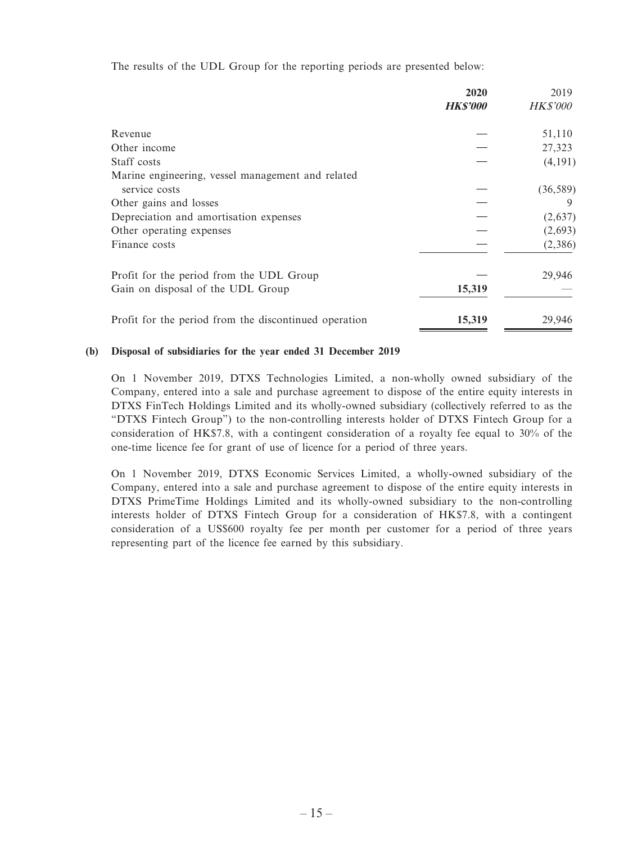The results of the UDL Group for the reporting periods are presented below:

|                                                       | 2020            | 2019            |
|-------------------------------------------------------|-----------------|-----------------|
|                                                       | <b>HK\$'000</b> | <b>HK\$'000</b> |
| Revenue                                               |                 | 51,110          |
| Other income                                          |                 | 27,323          |
| Staff costs                                           |                 | (4,191)         |
| Marine engineering, vessel management and related     |                 |                 |
| service costs                                         |                 | (36, 589)       |
| Other gains and losses                                |                 |                 |
| Depreciation and amortisation expenses                |                 | (2,637)         |
| Other operating expenses                              |                 | (2,693)         |
| Finance costs                                         |                 | (2,386)         |
| Profit for the period from the UDL Group              |                 | 29,946          |
| Gain on disposal of the UDL Group                     | 15,319          |                 |
| Profit for the period from the discontinued operation | 15,319          | 29,946          |

#### **(b) Disposal of subsidiaries for the year ended 31 December 2019**

On 1 November 2019, DTXS Technologies Limited, a non-wholly owned subsidiary of the Company, entered into a sale and purchase agreement to dispose of the entire equity interests in DTXS FinTech Holdings Limited and its wholly-owned subsidiary (collectively referred to as the "DTXS Fintech Group") to the non-controlling interests holder of DTXS Fintech Group for a consideration of HK\$7.8, with a contingent consideration of a royalty fee equal to 30% of the one-time licence fee for grant of use of licence for a period of three years.

On 1 November 2019, DTXS Economic Services Limited, a wholly-owned subsidiary of the Company, entered into a sale and purchase agreement to dispose of the entire equity interests in DTXS PrimeTime Holdings Limited and its wholly-owned subsidiary to the non-controlling interests holder of DTXS Fintech Group for a consideration of HK\$7.8, with a contingent consideration of a US\$600 royalty fee per month per customer for a period of three years representing part of the licence fee earned by this subsidiary.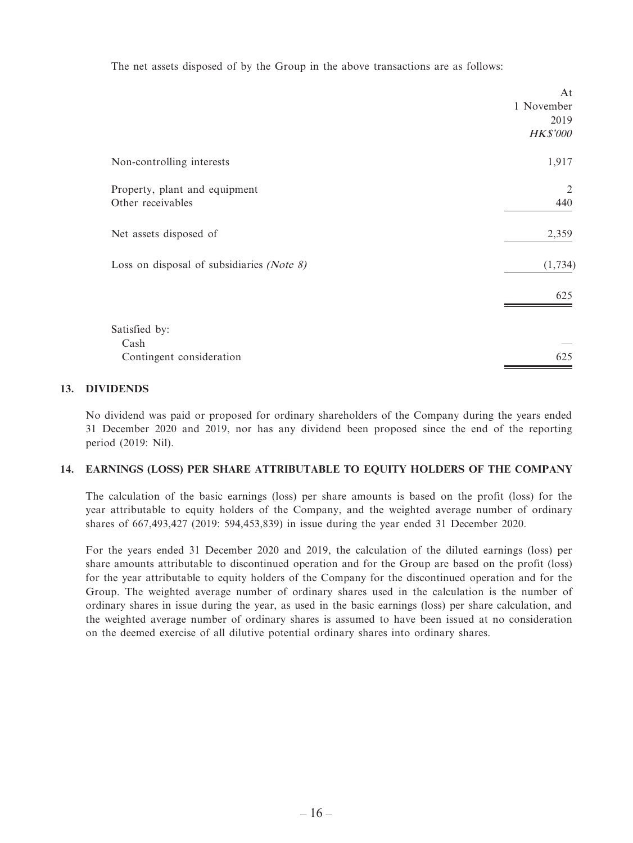The net assets disposed of by the Group in the above transactions are as follows:

|                                              | At              |
|----------------------------------------------|-----------------|
|                                              | 1 November      |
|                                              | 2019            |
|                                              | <b>HK\$'000</b> |
| Non-controlling interests                    | 1,917           |
| Property, plant and equipment                | 2               |
| Other receivables                            | 440             |
| Net assets disposed of                       | 2,359           |
| Loss on disposal of subsidiaries (Note $8$ ) | (1, 734)        |
|                                              | 625             |
| Satisfied by:                                |                 |
| Cash                                         |                 |
| Contingent consideration                     | 625             |

#### **13. DIVIDENDS**

No dividend was paid or proposed for ordinary shareholders of the Company during the years ended 31 December 2020 and 2019, nor has any dividend been proposed since the end of the reporting period (2019: Nil).

#### **14. EARNINGS (LOSS) PER SHARE ATTRIBUTABLE TO EQUITY HOLDERS OF THE COMPANY**

The calculation of the basic earnings (loss) per share amounts is based on the profit (loss) for the year attributable to equity holders of the Company, and the weighted average number of ordinary shares of 667,493,427 (2019: 594,453,839) in issue during the year ended 31 December 2020.

For the years ended 31 December 2020 and 2019, the calculation of the diluted earnings (loss) per share amounts attributable to discontinued operation and for the Group are based on the profit (loss) for the year attributable to equity holders of the Company for the discontinued operation and for the Group. The weighted average number of ordinary shares used in the calculation is the number of ordinary shares in issue during the year, as used in the basic earnings (loss) per share calculation, and the weighted average number of ordinary shares is assumed to have been issued at no consideration on the deemed exercise of all dilutive potential ordinary shares into ordinary shares.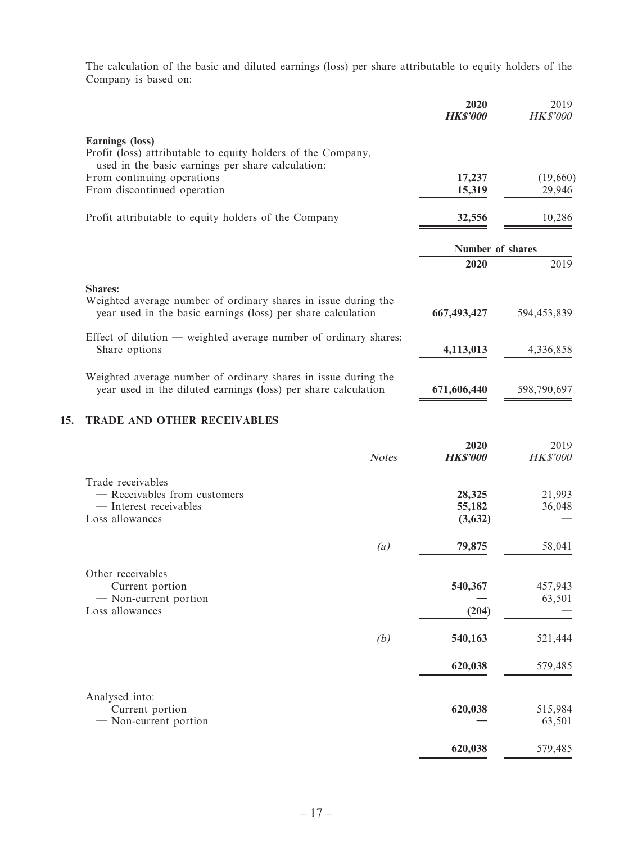The calculation of the basic and diluted earnings (loss) per share attributable to equity holders of the Company is based on:

|     |                                                                                                                                                  | 2020<br><b>HK\$'000</b>     | 2019<br>HK\$'000   |
|-----|--------------------------------------------------------------------------------------------------------------------------------------------------|-----------------------------|--------------------|
|     | <b>Earnings</b> (loss)<br>Profit (loss) attributable to equity holders of the Company,<br>used in the basic earnings per share calculation:      |                             |                    |
|     | From continuing operations<br>From discontinued operation                                                                                        | 17,237<br>15,319            | (19,660)<br>29,946 |
|     | Profit attributable to equity holders of the Company                                                                                             | 32,556                      | 10,286             |
|     |                                                                                                                                                  | Number of shares            |                    |
|     |                                                                                                                                                  | 2020                        | 2019               |
|     | <b>Shares:</b><br>Weighted average number of ordinary shares in issue during the<br>year used in the basic earnings (loss) per share calculation | 667,493,427                 | 594,453,839        |
|     | Effect of dilution — weighted average number of ordinary shares:<br>Share options                                                                | 4,113,013                   | 4,336,858          |
|     | Weighted average number of ordinary shares in issue during the<br>year used in the diluted earnings (loss) per share calculation                 | 671,606,440                 | 598,790,697        |
| 15. | <b>TRADE AND OTHER RECEIVABLES</b>                                                                                                               |                             |                    |
|     | <b>Notes</b>                                                                                                                                     | 2020<br><b>HK\$'000</b>     | 2019<br>HK\$'000   |
|     | Trade receivables<br>- Receivables from customers<br>- Interest receivables<br>Loss allowances                                                   | 28,325<br>55,182<br>(3,632) | 21,993<br>36,048   |
|     | $\left( a\right)$                                                                                                                                | 79,875                      | 58,041             |
|     | Other receivables<br>$-$ Current portion<br>- Non-current portion<br>Loss allowances                                                             | 540,367<br>(204)            | 457,943<br>63,501  |
|     | (b)                                                                                                                                              | 540,163                     | 521,444            |
|     |                                                                                                                                                  | 620,038                     | 579,485            |
|     | Analysed into:<br>- Current portion<br>- Non-current portion                                                                                     | 620,038                     | 515,984<br>63,501  |
|     |                                                                                                                                                  | 620,038                     | 579,485            |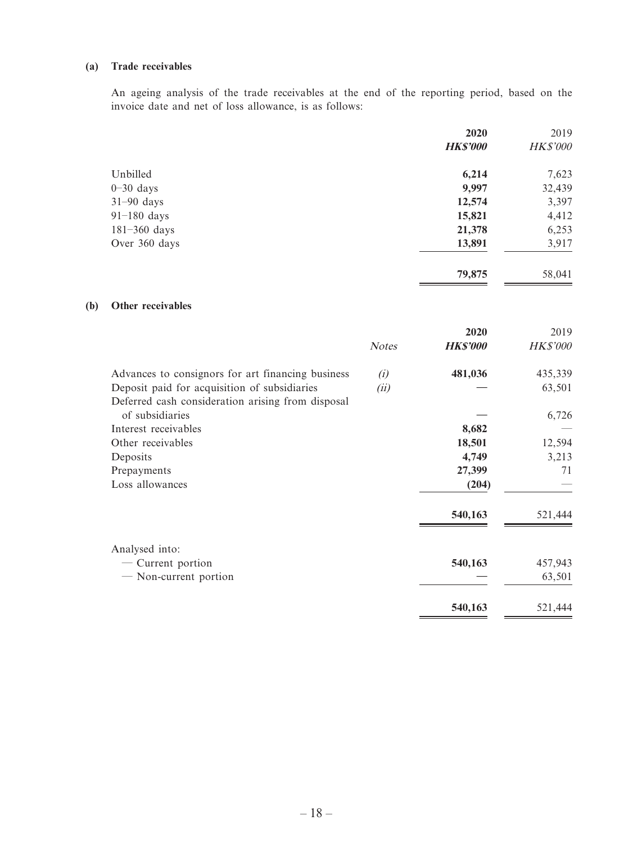#### **(a) Trade receivables**

An ageing analysis of the trade receivables at the end of the reporting period, based on the invoice date and net of loss allowance, is as follows:

|                  | 2020            | 2019            |
|------------------|-----------------|-----------------|
|                  | <b>HK\$'000</b> | <b>HK\$'000</b> |
| Unbilled         | 6,214           | 7,623           |
| $0-30$ days      | 9,997           | 32,439          |
| $31-90$ days     | 12,574          | 3,397           |
| $91-180$ days    | 15,821          | 4,412           |
| $181 - 360$ days | 21,378          | 6,253           |
| Over 360 days    | 13,891          | 3,917           |
|                  | 79,875          | 58,041          |

#### **(b) Other receivables**

|                                                   |              | 2020            | 2019            |
|---------------------------------------------------|--------------|-----------------|-----------------|
|                                                   | <b>Notes</b> | <b>HK\$'000</b> | <b>HK\$'000</b> |
| Advances to consignors for art financing business | (i)          | 481,036         | 435,339         |
| Deposit paid for acquisition of subsidiaries      | (ii)         |                 | 63,501          |
| Deferred cash consideration arising from disposal |              |                 |                 |
| of subsidiaries                                   |              |                 | 6,726           |
| Interest receivables                              |              | 8,682           |                 |
| Other receivables                                 |              | 18,501          | 12,594          |
| Deposits                                          |              | 4,749           | 3,213           |
| Prepayments                                       |              | 27,399          | 71              |
| Loss allowances                                   |              | (204)           |                 |
|                                                   |              | 540,163         | 521,444         |
| Analysed into:                                    |              |                 |                 |
| — Current portion                                 |              | 540,163         | 457,943         |
| - Non-current portion                             |              |                 | 63,501          |
|                                                   |              | 540,163         | 521,444         |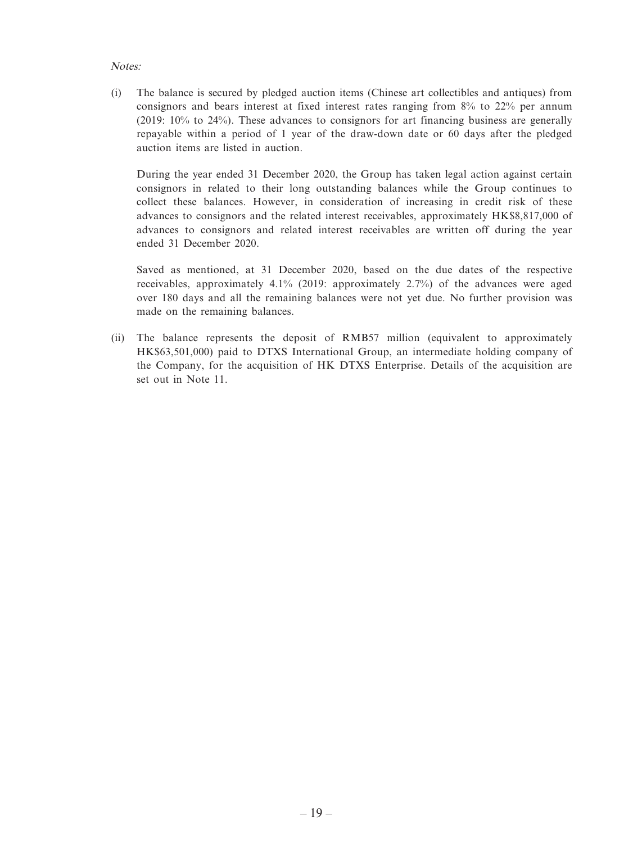#### Notes:

(i) The balance is secured by pledged auction items (Chinese art collectibles and antiques) from consignors and bears interest at fixed interest rates ranging from 8% to 22% per annum (2019: 10% to 24%). These advances to consignors for art financing business are generally repayable within a period of 1 year of the draw-down date or 60 days after the pledged auction items are listed in auction.

During the year ended 31 December 2020, the Group has taken legal action against certain consignors in related to their long outstanding balances while the Group continues to collect these balances. However, in consideration of increasing in credit risk of these advances to consignors and the related interest receivables, approximately HK\$8,817,000 of advances to consignors and related interest receivables are written off during the year ended 31 December 2020.

Saved as mentioned, at 31 December 2020, based on the due dates of the respective receivables, approximately 4.1% (2019: approximately 2.7%) of the advances were aged over 180 days and all the remaining balances were not yet due. No further provision was made on the remaining balances.

(ii) The balance represents the deposit of RMB57 million (equivalent to approximately HK\$63,501,000) paid to DTXS International Group, an intermediate holding company of the Company, for the acquisition of HK DTXS Enterprise. Details of the acquisition are set out in Note 11.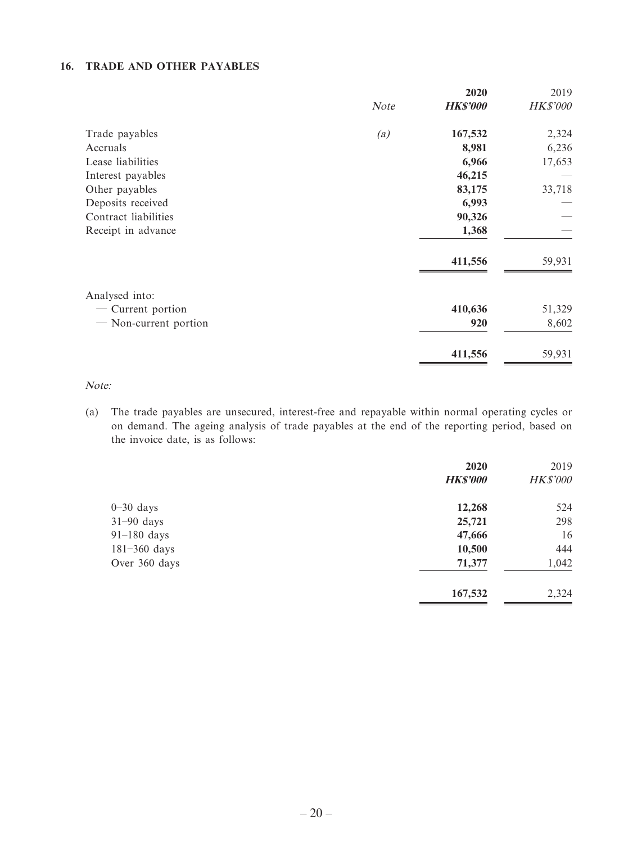### **16. TRADE AND OTHER PAYABLES**

|      | 2020            | 2019     |
|------|-----------------|----------|
| Note | <b>HK\$'000</b> | HK\$'000 |
| (a)  | 167,532         | 2,324    |
|      | 8,981           | 6,236    |
|      | 6,966           | 17,653   |
|      | 46,215          |          |
|      | 83,175          | 33,718   |
|      | 6,993           |          |
|      | 90,326          |          |
|      | 1,368           |          |
|      | 411,556         | 59,931   |
|      |                 |          |
|      | 410,636         | 51,329   |
|      | 920             | 8,602    |
|      | 411,556         | 59,931   |
|      |                 |          |

Note:

(a) The trade payables are unsecured, interest-free and repayable within normal operating cycles or on demand. The ageing analysis of trade payables at the end of the reporting period, based on the invoice date, is as follows:

|                  | 2020            | 2019            |
|------------------|-----------------|-----------------|
|                  | <b>HK\$'000</b> | <b>HK\$'000</b> |
| $0-30$ days      | 12,268          | 524             |
| $31-90$ days     | 25,721          | 298             |
| $91-180$ days    | 47,666          | 16              |
| $181 - 360$ days | 10,500          | 444             |
| Over 360 days    | 71,377          | 1,042           |
|                  | 167,532         | 2,324           |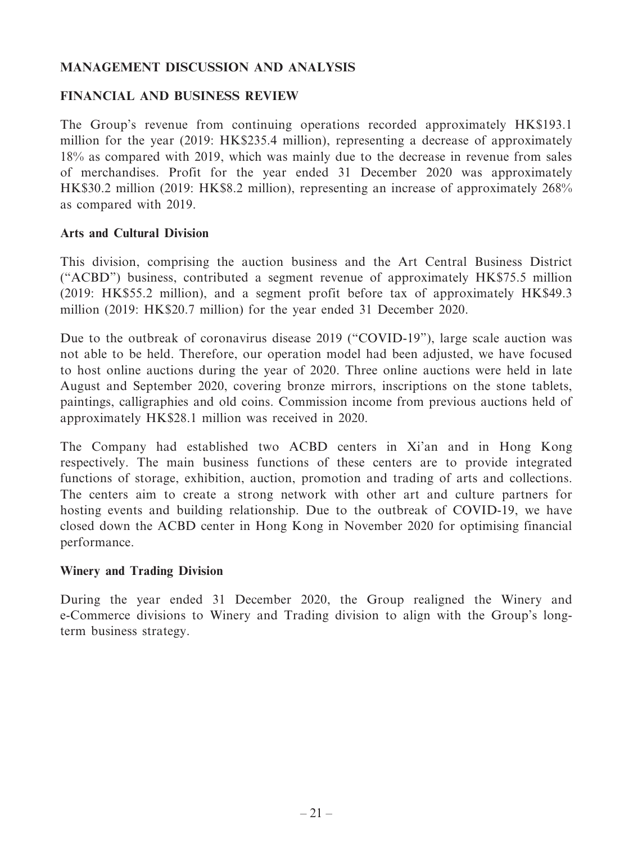# **MANAGEMENT DISCUSSION AND ANALYSIS**

### **FINANCIAL AND BUSINESS REVIEW**

The Group's revenue from continuing operations recorded approximately HK\$193.1 million for the year (2019: HK\$235.4 million), representing a decrease of approximately 18% as compared with 2019, which was mainly due to the decrease in revenue from sales of merchandises. Profit for the year ended 31 December 2020 was approximately HK\$30.2 million (2019: HK\$8.2 million), representing an increase of approximately 268% as compared with 2019.

### **Arts and Cultural Division**

This division, comprising the auction business and the Art Central Business District ("ACBD") business, contributed a segment revenue of approximately HK\$75.5 million (2019: HK\$55.2 million), and a segment profit before tax of approximately HK\$49.3 million (2019: HK\$20.7 million) for the year ended 31 December 2020.

Due to the outbreak of coronavirus disease 2019 ("COVID-19"), large scale auction was not able to be held. Therefore, our operation model had been adjusted, we have focused to host online auctions during the year of 2020. Three online auctions were held in late August and September 2020, covering bronze mirrors, inscriptions on the stone tablets, paintings, calligraphies and old coins. Commission income from previous auctions held of approximately HK\$28.1 million was received in 2020.

The Company had established two ACBD centers in Xi'an and in Hong Kong respectively. The main business functions of these centers are to provide integrated functions of storage, exhibition, auction, promotion and trading of arts and collections. The centers aim to create a strong network with other art and culture partners for hosting events and building relationship. Due to the outbreak of COVID-19, we have closed down the ACBD center in Hong Kong in November 2020 for optimising financial performance.

### **Winery and Trading Division**

During the year ended 31 December 2020, the Group realigned the Winery and e-Commerce divisions to Winery and Trading division to align with the Group's longterm business strategy.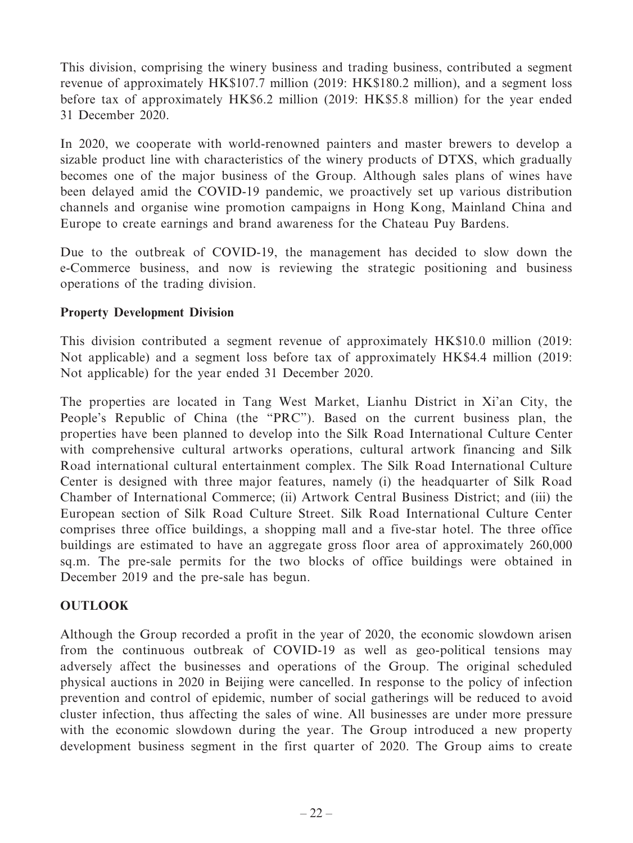This division, comprising the winery business and trading business, contributed a segment revenue of approximately HK\$107.7 million (2019: HK\$180.2 million), and a segment loss before tax of approximately HK\$6.2 million (2019: HK\$5.8 million) for the year ended 31 December 2020.

In 2020, we cooperate with world-renowned painters and master brewers to develop a sizable product line with characteristics of the winery products of DTXS, which gradually becomes one of the major business of the Group. Although sales plans of wines have been delayed amid the COVID-19 pandemic, we proactively set up various distribution channels and organise wine promotion campaigns in Hong Kong, Mainland China and Europe to create earnings and brand awareness for the Chateau Puy Bardens.

Due to the outbreak of COVID-19, the management has decided to slow down the e-Commerce business, and now is reviewing the strategic positioning and business operations of the trading division.

# **Property Development Division**

This division contributed a segment revenue of approximately HK\$10.0 million (2019: Not applicable) and a segment loss before tax of approximately HK\$4.4 million (2019: Not applicable) for the year ended 31 December 2020.

The properties are located in Tang West Market, Lianhu District in Xi'an City, the People's Republic of China (the "PRC"). Based on the current business plan, the properties have been planned to develop into the Silk Road International Culture Center with comprehensive cultural artworks operations, cultural artwork financing and Silk Road international cultural entertainment complex. The Silk Road International Culture Center is designed with three major features, namely (i) the headquarter of Silk Road Chamber of International Commerce; (ii) Artwork Central Business District; and (iii) the European section of Silk Road Culture Street. Silk Road International Culture Center comprises three office buildings, a shopping mall and a five-star hotel. The three office buildings are estimated to have an aggregate gross floor area of approximately 260,000 sq.m. The pre-sale permits for the two blocks of office buildings were obtained in December 2019 and the pre-sale has begun.

# **OUTLOOK**

Although the Group recorded a profit in the year of 2020, the economic slowdown arisen from the continuous outbreak of COVID-19 as well as geo-political tensions may adversely affect the businesses and operations of the Group. The original scheduled physical auctions in 2020 in Beijing were cancelled. In response to the policy of infection prevention and control of epidemic, number of social gatherings will be reduced to avoid cluster infection, thus affecting the sales of wine. All businesses are under more pressure with the economic slowdown during the year. The Group introduced a new property development business segment in the first quarter of 2020. The Group aims to create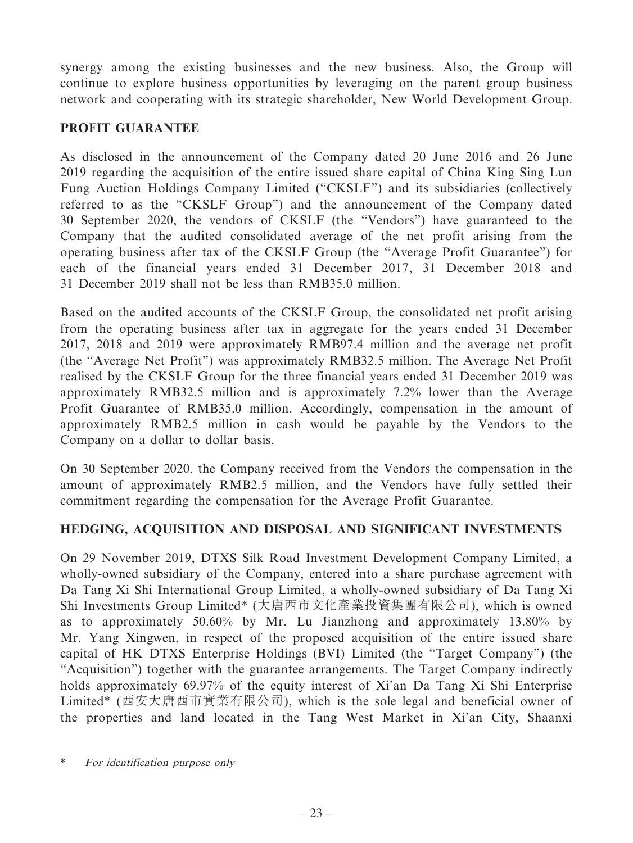synergy among the existing businesses and the new business. Also, the Group will continue to explore business opportunities by leveraging on the parent group business network and cooperating with its strategic shareholder, New World Development Group.

# **PROFIT GUARANTEE**

As disclosed in the announcement of the Company dated 20 June 2016 and 26 June 2019 regarding the acquisition of the entire issued share capital of China King Sing Lun Fung Auction Holdings Company Limited ("CKSLF") and its subsidiaries (collectively referred to as the "CKSLF Group") and the announcement of the Company dated 30 September 2020, the vendors of CKSLF (the "Vendors") have guaranteed to the Company that the audited consolidated average of the net profit arising from the operating business after tax of the CKSLF Group (the "Average Profit Guarantee") for each of the financial years ended 31 December 2017, 31 December 2018 and 31 December 2019 shall not be less than RMB35.0 million.

Based on the audited accounts of the CKSLF Group, the consolidated net profit arising from the operating business after tax in aggregate for the years ended 31 December 2017, 2018 and 2019 were approximately RMB97.4 million and the average net profit (the "Average Net Profit") was approximately RMB32.5 million. The Average Net Profit realised by the CKSLF Group for the three financial years ended 31 December 2019 was approximately RMB32.5 million and is approximately 7.2% lower than the Average Profit Guarantee of RMB35.0 million. Accordingly, compensation in the amount of approximately RMB2.5 million in cash would be payable by the Vendors to the Company on a dollar to dollar basis.

On 30 September 2020, the Company received from the Vendors the compensation in the amount of approximately RMB2.5 million, and the Vendors have fully settled their commitment regarding the compensation for the Average Profit Guarantee.

### **HEDGING, ACQUISITION AND DISPOSAL AND SIGNIFICANT INVESTMENTS**

On 29 November 2019, DTXS Silk Road Investment Development Company Limited, a wholly-owned subsidiary of the Company, entered into a share purchase agreement with Da Tang Xi Shi International Group Limited, a wholly-owned subsidiary of Da Tang Xi Shi Investments Group Limited\* (大唐西市文化產業投資集團有限公司), which is owned as to approximately 50.60% by Mr. Lu Jianzhong and approximately 13.80% by Mr. Yang Xingwen, in respect of the proposed acquisition of the entire issued share capital of HK DTXS Enterprise Holdings (BVI) Limited (the "Target Company") (the "Acquisition") together with the guarantee arrangements. The Target Company indirectly holds approximately 69.97% of the equity interest of Xi'an Da Tang Xi Shi Enterprise Limited\* (西安大唐西市實業有限公司), which is the sole legal and beneficial owner of the properties and land located in the Tang West Market in Xi'an City, Shaanxi

For identification purpose only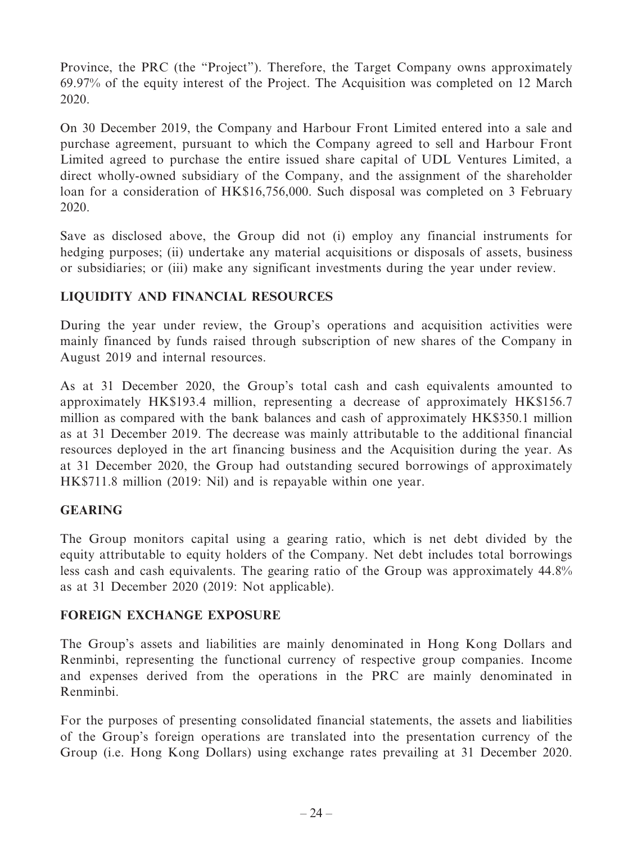Province, the PRC (the "Project"). Therefore, the Target Company owns approximately 69.97% of the equity interest of the Project. The Acquisition was completed on 12 March 2020.

On 30 December 2019, the Company and Harbour Front Limited entered into a sale and purchase agreement, pursuant to which the Company agreed to sell and Harbour Front Limited agreed to purchase the entire issued share capital of UDL Ventures Limited, a direct wholly-owned subsidiary of the Company, and the assignment of the shareholder loan for a consideration of HK\$16,756,000. Such disposal was completed on 3 February 2020.

Save as disclosed above, the Group did not (i) employ any financial instruments for hedging purposes; (ii) undertake any material acquisitions or disposals of assets, business or subsidiaries; or (iii) make any significant investments during the year under review.

# **LIQUIDITY AND FINANCIAL RESOURCES**

During the year under review, the Group's operations and acquisition activities were mainly financed by funds raised through subscription of new shares of the Company in August 2019 and internal resources.

As at 31 December 2020, the Group's total cash and cash equivalents amounted to approximately HK\$193.4 million, representing a decrease of approximately HK\$156.7 million as compared with the bank balances and cash of approximately HK\$350.1 million as at 31 December 2019. The decrease was mainly attributable to the additional financial resources deployed in the art financing business and the Acquisition during the year. As at 31 December 2020, the Group had outstanding secured borrowings of approximately HK\$711.8 million (2019: Nil) and is repayable within one year.

### **GEARING**

The Group monitors capital using a gearing ratio, which is net debt divided by the equity attributable to equity holders of the Company. Net debt includes total borrowings less cash and cash equivalents. The gearing ratio of the Group was approximately 44.8% as at 31 December 2020 (2019: Not applicable).

### **FOREIGN EXCHANGE EXPOSURE**

The Group's assets and liabilities are mainly denominated in Hong Kong Dollars and Renminbi, representing the functional currency of respective group companies. Income and expenses derived from the operations in the PRC are mainly denominated in Renminbi.

For the purposes of presenting consolidated financial statements, the assets and liabilities of the Group's foreign operations are translated into the presentation currency of the Group (i.e. Hong Kong Dollars) using exchange rates prevailing at 31 December 2020.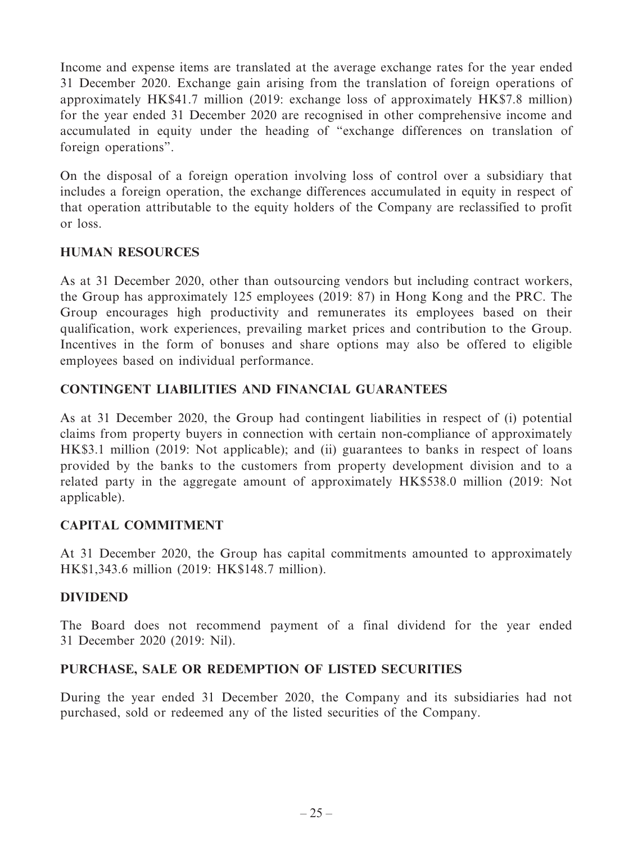Income and expense items are translated at the average exchange rates for the year ended 31 December 2020. Exchange gain arising from the translation of foreign operations of approximately HK\$41.7 million (2019: exchange loss of approximately HK\$7.8 million) for the year ended 31 December 2020 are recognised in other comprehensive income and accumulated in equity under the heading of "exchange differences on translation of foreign operations".

On the disposal of a foreign operation involving loss of control over a subsidiary that includes a foreign operation, the exchange differences accumulated in equity in respect of that operation attributable to the equity holders of the Company are reclassified to profit or loss.

# **HUMAN RESOURCES**

As at 31 December 2020, other than outsourcing vendors but including contract workers, the Group has approximately 125 employees (2019: 87) in Hong Kong and the PRC. The Group encourages high productivity and remunerates its employees based on their qualification, work experiences, prevailing market prices and contribution to the Group. Incentives in the form of bonuses and share options may also be offered to eligible employees based on individual performance.

### **CONTINGENT LIABILITIES AND FINANCIAL GUARANTEES**

As at 31 December 2020, the Group had contingent liabilities in respect of (i) potential claims from property buyers in connection with certain non-compliance of approximately HK\$3.1 million (2019: Not applicable); and (ii) guarantees to banks in respect of loans provided by the banks to the customers from property development division and to a related party in the aggregate amount of approximately HK\$538.0 million (2019: Not applicable).

### **CAPITAL COMMITMENT**

At 31 December 2020, the Group has capital commitments amounted to approximately HK\$1,343.6 million (2019: HK\$148.7 million).

### **DIVIDEND**

The Board does not recommend payment of a final dividend for the year ended 31 December 2020 (2019: Nil).

### **PURCHASE, SALE OR REDEMPTION OF LISTED SECURITIES**

During the year ended 31 December 2020, the Company and its subsidiaries had not purchased, sold or redeemed any of the listed securities of the Company.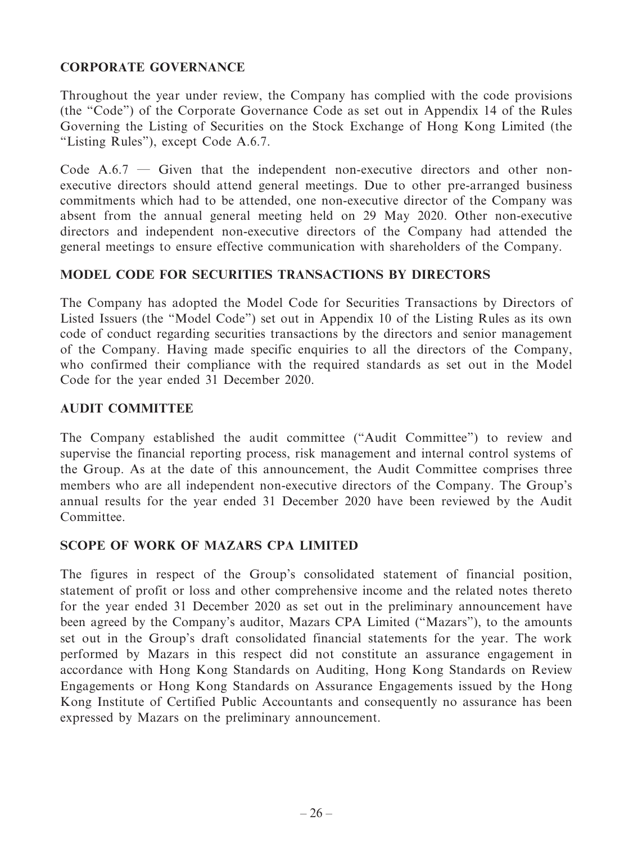# **CORPORATE GOVERNANCE**

Throughout the year under review, the Company has complied with the code provisions (the "Code") of the Corporate Governance Code as set out in Appendix 14 of the Rules Governing the Listing of Securities on the Stock Exchange of Hong Kong Limited (the "Listing Rules"), except Code A.6.7.

Code  $A.6.7$  — Given that the independent non-executive directors and other nonexecutive directors should attend general meetings. Due to other pre-arranged business commitments which had to be attended, one non-executive director of the Company was absent from the annual general meeting held on 29 May 2020. Other non-executive directors and independent non-executive directors of the Company had attended the general meetings to ensure effective communication with shareholders of the Company.

# **MODEL CODE FOR SECURITIES TRANSACTIONS BY DIRECTORS**

The Company has adopted the Model Code for Securities Transactions by Directors of Listed Issuers (the "Model Code") set out in Appendix 10 of the Listing Rules as its own code of conduct regarding securities transactions by the directors and senior management of the Company. Having made specific enquiries to all the directors of the Company, who confirmed their compliance with the required standards as set out in the Model Code for the year ended 31 December 2020.

### **AUDIT COMMITTEE**

The Company established the audit committee ("Audit Committee") to review and supervise the financial reporting process, risk management and internal control systems of the Group. As at the date of this announcement, the Audit Committee comprises three members who are all independent non-executive directors of the Company. The Group's annual results for the year ended 31 December 2020 have been reviewed by the Audit Committee.

### **SCOPE OF WORK OF MAZARS CPA LIMITED**

The figures in respect of the Group's consolidated statement of financial position, statement of profit or loss and other comprehensive income and the related notes thereto for the year ended 31 December 2020 as set out in the preliminary announcement have been agreed by the Company's auditor, Mazars CPA Limited ("Mazars"), to the amounts set out in the Group's draft consolidated financial statements for the year. The work performed by Mazars in this respect did not constitute an assurance engagement in accordance with Hong Kong Standards on Auditing, Hong Kong Standards on Review Engagements or Hong Kong Standards on Assurance Engagements issued by the Hong Kong Institute of Certified Public Accountants and consequently no assurance has been expressed by Mazars on the preliminary announcement.